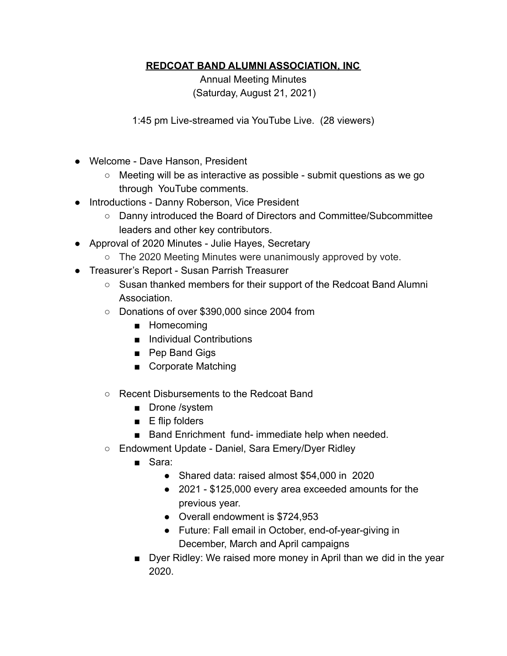## **REDCOAT BAND ALUMNI ASSOCIATION, INC**

Annual Meeting Minutes (Saturday, August 21, 2021)

1:45 pm Live-streamed via YouTube Live. (28 viewers)

- Welcome Dave Hanson, President
	- Meeting will be as interactive as possible submit questions as we go through YouTube comments.
- Introductions Danny Roberson, Vice President
	- Danny introduced the Board of Directors and Committee/Subcommittee leaders and other key contributors.
- Approval of 2020 Minutes Julie Hayes, Secretary
	- The 2020 Meeting Minutes were unanimously approved by vote.
- Treasurer's Report Susan Parrish Treasurer
	- Susan thanked members for their support of the Redcoat Band Alumni **Association**
	- Donations of over \$390,000 since 2004 from
		- Homecoming
		- Individual Contributions
		- Pep Band Gigs
		- Corporate Matching
	- Recent Disbursements to the Redcoat Band
		- Drone /system
		- E flip folders
		- Band Enrichment fund- immediate help when needed.
	- Endowment Update Daniel, Sara Emery/Dyer Ridley
		- Sara:
			- Shared data: raised almost \$54,000 in 2020
			- 2021 \$125,000 every area exceeded amounts for the previous year.
			- Overall endowment is \$724,953
			- Future: Fall email in October, end-of-year-giving in December, March and April campaigns
		- Dyer Ridley: We raised more money in April than we did in the year 2020.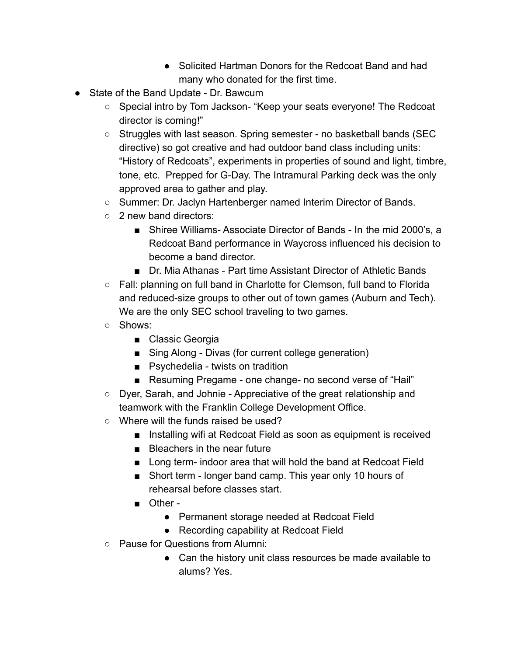- Solicited Hartman Donors for the Redcoat Band and had many who donated for the first time.
- State of the Band Update Dr. Bawcum
	- Special intro by Tom Jackson- "Keep your seats everyone! The Redcoat director is coming!"
	- Struggles with last season. Spring semester no basketball bands (SEC directive) so got creative and had outdoor band class including units: "History of Redcoats", experiments in properties of sound and light, timbre, tone, etc. Prepped for G-Day. The Intramural Parking deck was the only approved area to gather and play.
	- Summer: Dr. Jaclyn Hartenberger named Interim Director of Bands.
	- 2 new band directors:
		- Shiree Williams- Associate Director of Bands In the mid 2000's, a Redcoat Band performance in Waycross influenced his decision to become a band director.
		- Dr. Mia Athanas Part time Assistant Director of Athletic Bands
	- Fall: planning on full band in Charlotte for Clemson, full band to Florida and reduced-size groups to other out of town games (Auburn and Tech). We are the only SEC school traveling to two games.
	- Shows:
		- Classic Georgia
		- Sing Along Divas (for current college generation)
		- Psychedelia twists on tradition
		- Resuming Pregame one change- no second verse of "Hail"
	- Dyer, Sarah, and Johnie Appreciative of the great relationship and teamwork with the Franklin College Development Office.
	- Where will the funds raised be used?
		- Installing wifi at Redcoat Field as soon as equipment is received
		- Bleachers in the near future
		- Long term- indoor area that will hold the band at Redcoat Field
		- Short term longer band camp. This year only 10 hours of rehearsal before classes start.
		- Other -
			- Permanent storage needed at Redcoat Field
			- Recording capability at Redcoat Field
	- Pause for Questions from Alumni:
		- Can the history unit class resources be made available to alums? Yes.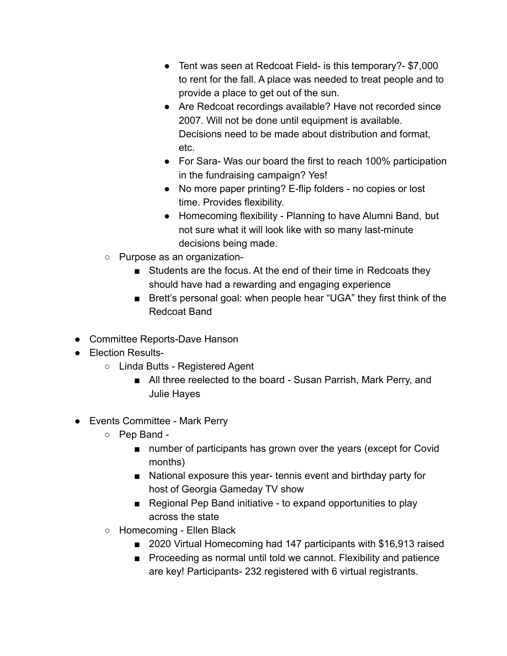- Tent was seen at Redcoat Field- is this temporary?- \$7,000 to rent for the fall. A place was needed to treat people and to provide a place to get out of the sun.
- Are Redcoat recordings available? Have not recorded since 2007. Will not be done until equipment is available. Decisions need to be made about distribution and format, etc.
- For Sara- Was our board the first to reach 100% participation in the fundraising campaign? Yes!
- No more paper printing? E-flip folders no copies or lost time. Provides flexibility.
- Homecoming flexibility Planning to have Alumni Band, but not sure what it will look like with so many last-minute decisions being made.
- Purpose as an organization-
	- Students are the focus. At the end of their time in Redcoats they should have had a rewarding and engaging experience
	- Brett's personal goal: when people hear "UGA" they first think of the Redcoat Band
- Committee Reports-Dave Hanson
- Election Results-
	- Linda Butts Registered Agent
		- All three reelected to the board Susan Parrish, Mark Perry, and Julie Hayes
- Events Committee Mark Perry
	- Pep Band
		- number of participants has grown over the years (except for Covid months)
		- National exposure this year- tennis event and birthday party for host of Georgia Gameday TV show
		- Regional Pep Band initiative to expand opportunities to play across the state
	- Homecoming Ellen Black
		- 2020 Virtual Homecoming had 147 participants with \$16,913 raised
		- Proceeding as normal until told we cannot. Flexibility and patience are key! Participants- 232 registered with 6 virtual registrants.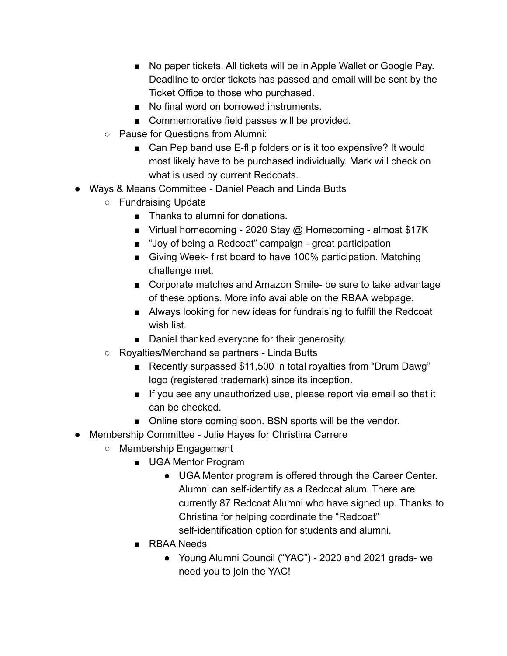- No paper tickets. All tickets will be in Apple Wallet or Google Pay. Deadline to order tickets has passed and email will be sent by the Ticket Office to those who purchased.
- No final word on borrowed instruments
- Commemorative field passes will be provided.
- Pause for Questions from Alumni:
	- Can Pep band use E-flip folders or is it too expensive? It would most likely have to be purchased individually. Mark will check on what is used by current Redcoats.
- Ways & Means Committee Daniel Peach and Linda Butts
	- Fundraising Update
		- Thanks to alumni for donations.
		- Virtual homecoming 2020 Stay @ Homecoming almost \$17K
		- "Joy of being a Redcoat" campaign great participation
		- Giving Week- first board to have 100% participation. Matching challenge met.
		- Corporate matches and Amazon Smile- be sure to take advantage of these options. More info available on the RBAA webpage.
		- Always looking for new ideas for fundraising to fulfill the Redcoat wish list.
		- Daniel thanked everyone for their generosity.
	- Royalties/Merchandise partners Linda Butts
		- Recently surpassed \$11,500 in total royalties from "Drum Dawg" logo (registered trademark) since its inception.
		- If you see any unauthorized use, please report via email so that it can be checked.
		- Online store coming soon. BSN sports will be the vendor.
- Membership Committee Julie Hayes for Christina Carrere
	- Membership Engagement
		- UGA Mentor Program
			- UGA Mentor program is offered through the Career Center. Alumni can self-identify as a Redcoat alum. There are currently 87 Redcoat Alumni who have signed up. Thanks to Christina for helping coordinate the "Redcoat" self-identification option for students and alumni.
		- RBAA Needs
			- Young Alumni Council ("YAC") 2020 and 2021 grads- we need you to join the YAC!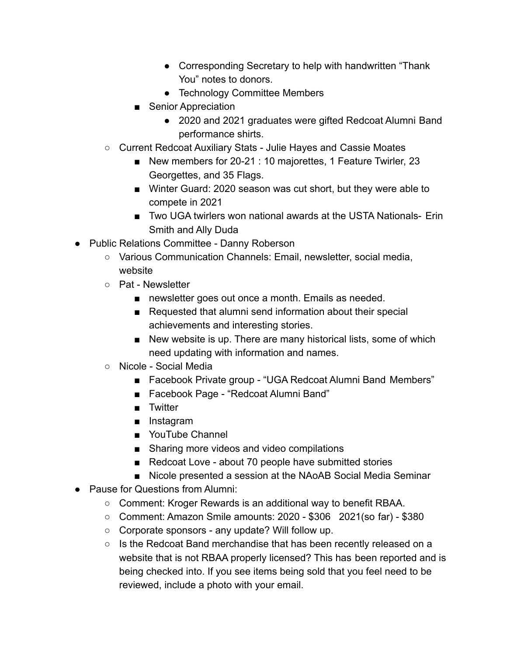- Corresponding Secretary to help with handwritten "Thank" You" notes to donors.
- Technology Committee Members
- Senior Appreciation
	- 2020 and 2021 graduates were gifted Redcoat Alumni Band performance shirts.
- Current Redcoat Auxiliary Stats Julie Hayes and Cassie Moates
	- New members for 20-21 : 10 majorettes, 1 Feature Twirler, 23 Georgettes, and 35 Flags.
	- Winter Guard: 2020 season was cut short, but they were able to compete in 2021
	- Two UGA twirlers won national awards at the USTA Nationals- Erin Smith and Ally Duda
- Public Relations Committee Danny Roberson
	- Various Communication Channels: Email, newsletter, social media, website
	- Pat Newsletter
		- newsletter goes out once a month. Emails as needed.
		- Requested that alumni send information about their special achievements and interesting stories.
		- New website is up. There are many historical lists, some of which need updating with information and names.
	- Nicole Social Media
		- Facebook Private group "UGA Redcoat Alumni Band Members"
		- Facebook Page "Redcoat Alumni Band"
		- Twitter
		- Instagram
		- YouTube Channel
		- Sharing more videos and video compilations
		- Redcoat Love about 70 people have submitted stories
		- Nicole presented a session at the NAoAB Social Media Seminar
- Pause for Questions from Alumni:
	- Comment: Kroger Rewards is an additional way to benefit RBAA.
	- Comment: Amazon Smile amounts: 2020 \$306 2021(so far) \$380
	- Corporate sponsors any update? Will follow up.
	- Is the Redcoat Band merchandise that has been recently released on a website that is not RBAA properly licensed? This has been reported and is being checked into. If you see items being sold that you feel need to be reviewed, include a photo with your email.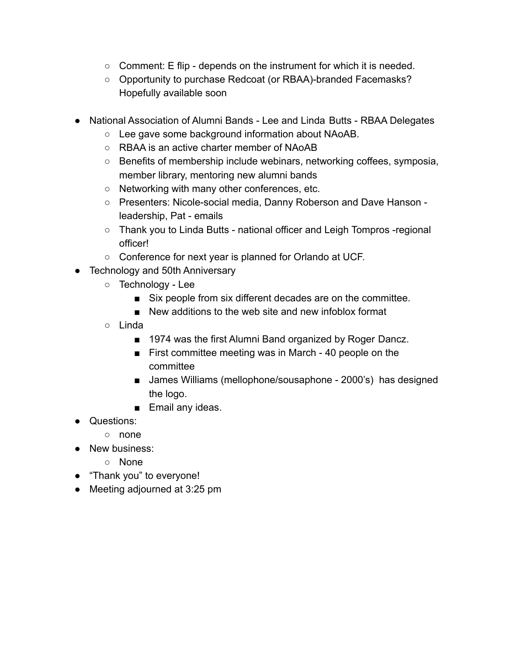- $\circ$  Comment: E flip depends on the instrument for which it is needed.
- Opportunity to purchase Redcoat (or RBAA)-branded Facemasks? Hopefully available soon
- National Association of Alumni Bands Lee and Linda Butts RBAA Delegates
	- Lee gave some background information about NAoAB.
	- RBAA is an active charter member of NAoAB
	- Benefits of membership include webinars, networking coffees, symposia, member library, mentoring new alumni bands
	- Networking with many other conferences, etc.
	- Presenters: Nicole-social media, Danny Roberson and Dave Hanson leadership, Pat - emails
	- Thank you to Linda Butts national officer and Leigh Tompros -regional officer!
	- Conference for next year is planned for Orlando at UCF.
- Technology and 50th Anniversary
	- Technology Lee
		- Six people from six different decades are on the committee.
		- New additions to the web site and new infoblox format
	- Linda
		- 1974 was the first Alumni Band organized by Roger Dancz.
		- First committee meeting was in March 40 people on the committee
		- James Williams (mellophone/sousaphone 2000's) has designed the logo.
		- Email any ideas.
- Questions:
	- none
- New business:
	- None
- "Thank you" to everyone!
- Meeting adjourned at 3:25 pm